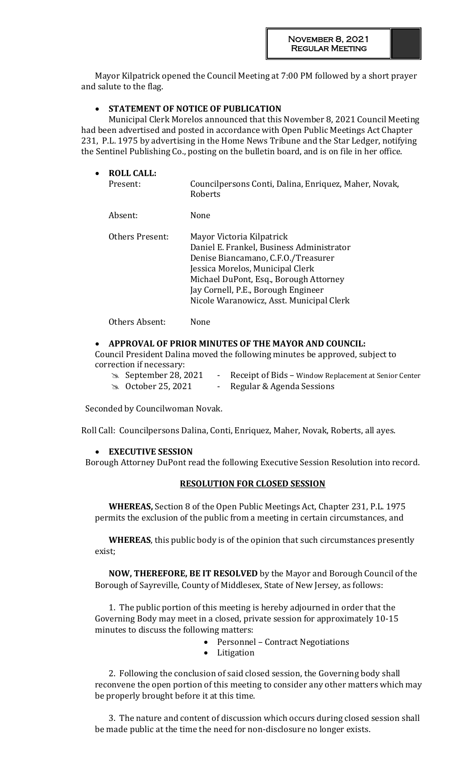Mayor Kilpatrick opened the Council Meeting at 7:00 PM followed by a short prayer and salute to the flag.

## **STATEMENT OF NOTICE OF PUBLICATION**

Municipal Clerk Morelos announced that this November 8, 2021 Council Meeting had been advertised and posted in accordance with Open Public Meetings Act Chapter 231, P.L. 1975 by advertising in the Home News Tribune and the Star Ledger, notifying the Sentinel Publishing Co., posting on the bulletin board, and is on file in her office.

| $\bullet$ | <b>ROLL CALL:</b><br>Present: | Councilpersons Conti, Dalina, Enriquez, Maher, Novak,<br>Roberts                                                                                                                                                                                                               |
|-----------|-------------------------------|--------------------------------------------------------------------------------------------------------------------------------------------------------------------------------------------------------------------------------------------------------------------------------|
|           | Absent:                       | None                                                                                                                                                                                                                                                                           |
|           | Others Present:               | Mayor Victoria Kilpatrick<br>Daniel E. Frankel, Business Administrator<br>Denise Biancamano, C.F.O./Treasurer<br>Jessica Morelos, Municipal Clerk<br>Michael DuPont, Esq., Borough Attorney<br>Jay Cornell, P.E., Borough Engineer<br>Nicole Waranowicz, Asst. Municipal Clerk |

Others Absent: None

#### **APPROVAL OF PRIOR MINUTES OF THE MAYOR AND COUNCIL:**

Council President Dalina moved the following minutes be approved, subject to correction if necessary:

 September 28, 2021 - Receipt of Bids – Window Replacement at Senior Center **EX** October 25, 2021 - Regular & Agenda Sessions

Seconded by Councilwoman Novak.

Roll Call: Councilpersons Dalina, Conti, Enriquez, Maher, Novak, Roberts, all ayes.

#### **EXECUTIVE SESSION**

Borough Attorney DuPont read the following Executive Session Resolution into record.

#### **RESOLUTION FOR CLOSED SESSION**

**WHEREAS,** Section 8 of the Open Public Meetings Act, Chapter 231, P.L. 1975 permits the exclusion of the public from a meeting in certain circumstances, and

**WHEREAS**, this public body is of the opinion that such circumstances presently exist;

**NOW, THEREFORE, BE IT RESOLVED** by the Mayor and Borough Council of the Borough of Sayreville, County of Middlesex, State of New Jersey, as follows:

1. The public portion of this meeting is hereby adjourned in order that the Governing Body may meet in a closed, private session for approximately 10-15 minutes to discuss the following matters:

- Personnel Contract Negotiations
- Litigation

2. Following the conclusion of said closed session, the Governing body shall reconvene the open portion of this meeting to consider any other matters which may be properly brought before it at this time.

3. The nature and content of discussion which occurs during closed session shall be made public at the time the need for non-disclosure no longer exists.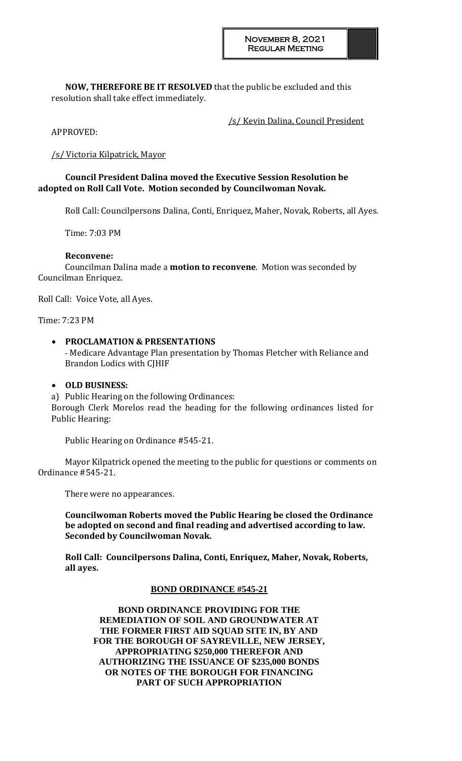**NOW, THEREFORE BE IT RESOLVED** that the public be excluded and this resolution shall take effect immediately.

/s/ Kevin Dalina, Council President

APPROVED:

## /s/ Victoria Kilpatrick, Mayor

## **Council President Dalina moved the Executive Session Resolution be adopted on Roll Call Vote. Motion seconded by Councilwoman Novak.**

Roll Call: Councilpersons Dalina, Conti, Enriquez, Maher, Novak, Roberts, all Ayes.

Time: 7:03 PM

## **Reconvene:**

Councilman Dalina made a **motion to reconvene**. Motion was seconded by Councilman Enriquez.

Roll Call: Voice Vote, all Ayes.

Time: 7:23 PM

#### **PROCLAMATION & PRESENTATIONS**

- Medicare Advantage Plan presentation by Thomas Fletcher with Reliance and Brandon Lodics with CJHIF

#### **OLD BUSINESS:**

a) Public Hearing on the following Ordinances: Borough Clerk Morelos read the heading for the following ordinances listed for Public Hearing:

Public Hearing on Ordinance #545-21.

Mayor Kilpatrick opened the meeting to the public for questions or comments on Ordinance #545-21.

There were no appearances.

**Councilwoman Roberts moved the Public Hearing be closed the Ordinance be adopted on second and final reading and advertised according to law. Seconded by Councilwoman Novak.** 

**Roll Call: Councilpersons Dalina, Conti, Enriquez, Maher, Novak, Roberts, all ayes.**

#### **BOND ORDINANCE #545-21**

**BOND ORDINANCE PROVIDING FOR THE REMEDIATION OF SOIL AND GROUNDWATER AT THE FORMER FIRST AID SQUAD SITE IN, BY AND FOR THE BOROUGH OF SAYREVILLE, NEW JERSEY, APPROPRIATING \$250,000 THEREFOR AND AUTHORIZING THE ISSUANCE OF \$235,000 BONDS OR NOTES OF THE BOROUGH FOR FINANCING PART OF SUCH APPROPRIATION**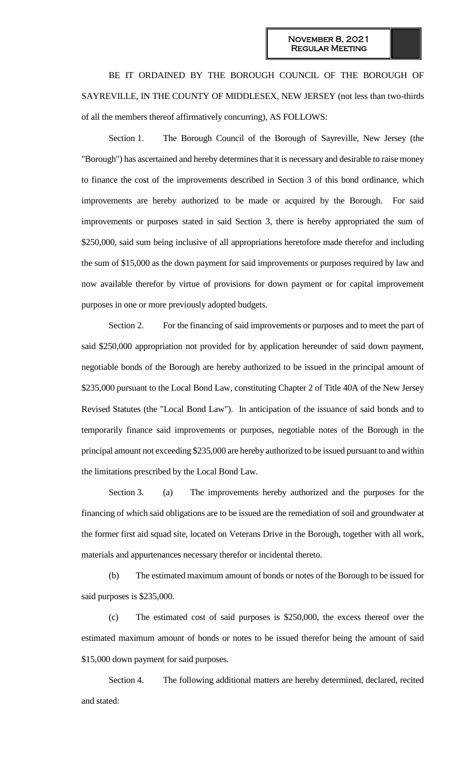BE IT ORDAINED BY THE BOROUGH COUNCIL OF THE BOROUGH OF SAYREVILLE, IN THE COUNTY OF MIDDLESEX, NEW JERSEY (not less than two-thirds of all the members thereof affirmatively concurring), AS FOLLOWS:

Section 1. The Borough Council of the Borough of Sayreville, New Jersey (the "Borough") has ascertained and hereby determines that it is necessary and desirable to raise money to finance the cost of the improvements described in Section 3 of this bond ordinance, which improvements are hereby authorized to be made or acquired by the Borough. For said improvements or purposes stated in said Section 3, there is hereby appropriated the sum of \$250,000, said sum being inclusive of all appropriations heretofore made therefor and including the sum of \$15,000 as the down payment for said improvements or purposes required by law and now available therefor by virtue of provisions for down payment or for capital improvement purposes in one or more previously adopted budgets.

Section 2. For the financing of said improvements or purposes and to meet the part of said \$250,000 appropriation not provided for by application hereunder of said down payment, negotiable bonds of the Borough are hereby authorized to be issued in the principal amount of \$235,000 pursuant to the Local Bond Law, constituting Chapter 2 of Title 40A of the New Jersey Revised Statutes (the "Local Bond Law"). In anticipation of the issuance of said bonds and to temporarily finance said improvements or purposes, negotiable notes of the Borough in the principal amount not exceeding \$235,000 are hereby authorized to be issued pursuant to and within the limitations prescribed by the Local Bond Law.

Section 3. (a) The improvements hereby authorized and the purposes for the financing of which said obligations are to be issued are the remediation of soil and groundwater at the former first aid squad site, located on Veterans Drive in the Borough, together with all work, materials and appurtenances necessary therefor or incidental thereto.

(b) The estimated maximum amount of bonds or notes of the Borough to be issued for said purposes is \$235,000.

(c) The estimated cost of said purposes is \$250,000, the excess thereof over the estimated maximum amount of bonds or notes to be issued therefor being the amount of said \$15,000 down payment for said purposes.

Section 4. The following additional matters are hereby determined, declared, recited and stated: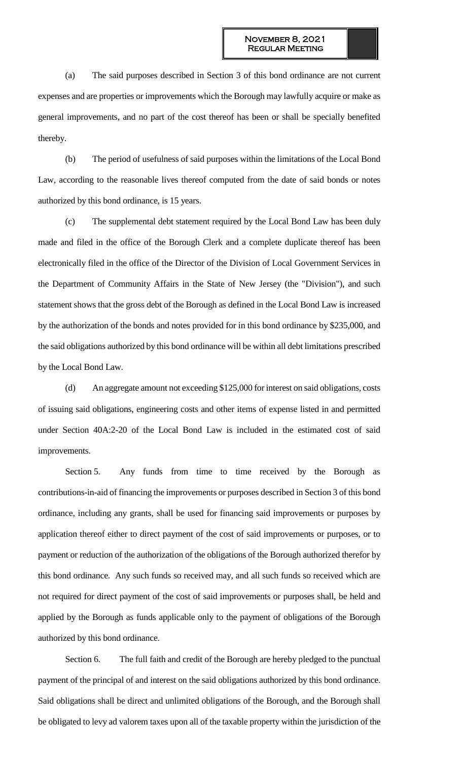(a) The said purposes described in Section 3 of this bond ordinance are not current expenses and are properties or improvements which the Borough may lawfully acquire or make as general improvements, and no part of the cost thereof has been or shall be specially benefited thereby.

(b) The period of usefulness of said purposes within the limitations of the Local Bond Law, according to the reasonable lives thereof computed from the date of said bonds or notes authorized by this bond ordinance, is 15 years.

(c) The supplemental debt statement required by the Local Bond Law has been duly made and filed in the office of the Borough Clerk and a complete duplicate thereof has been electronically filed in the office of the Director of the Division of Local Government Services in the Department of Community Affairs in the State of New Jersey (the "Division"), and such statement shows that the gross debt of the Borough as defined in the Local Bond Law is increased by the authorization of the bonds and notes provided for in this bond ordinance by \$235,000, and the said obligations authorized by this bond ordinance will be within all debt limitations prescribed by the Local Bond Law.

(d) An aggregate amount not exceeding \$125,000 for interest on said obligations, costs of issuing said obligations, engineering costs and other items of expense listed in and permitted under Section 40A:2-20 of the Local Bond Law is included in the estimated cost of said improvements.

Section 5. Any funds from time to time received by the Borough as contributions-in-aid of financing the improvements or purposes described in Section 3 of this bond ordinance, including any grants, shall be used for financing said improvements or purposes by application thereof either to direct payment of the cost of said improvements or purposes, or to payment or reduction of the authorization of the obligations of the Borough authorized therefor by this bond ordinance. Any such funds so received may, and all such funds so received which are not required for direct payment of the cost of said improvements or purposes shall, be held and applied by the Borough as funds applicable only to the payment of obligations of the Borough authorized by this bond ordinance.

Section 6. The full faith and credit of the Borough are hereby pledged to the punctual payment of the principal of and interest on the said obligations authorized by this bond ordinance. Said obligations shall be direct and unlimited obligations of the Borough, and the Borough shall be obligated to levy ad valorem taxes upon all of the taxable property within the jurisdiction of the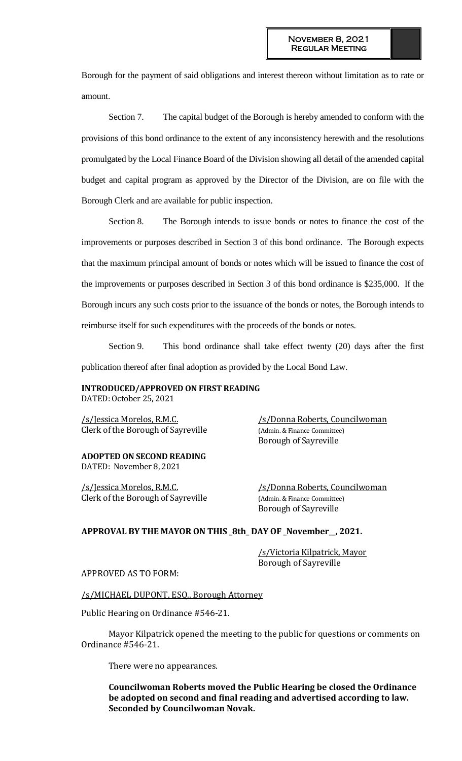Borough for the payment of said obligations and interest thereon without limitation as to rate or amount.

Section 7. The capital budget of the Borough is hereby amended to conform with the provisions of this bond ordinance to the extent of any inconsistency herewith and the resolutions promulgated by the Local Finance Board of the Division showing all detail of the amended capital budget and capital program as approved by the Director of the Division, are on file with the Borough Clerk and are available for public inspection.

Section 8. The Borough intends to issue bonds or notes to finance the cost of the improvements or purposes described in Section 3 of this bond ordinance. The Borough expects that the maximum principal amount of bonds or notes which will be issued to finance the cost of the improvements or purposes described in Section 3 of this bond ordinance is \$235,000. If the Borough incurs any such costs prior to the issuance of the bonds or notes, the Borough intends to reimburse itself for such expenditures with the proceeds of the bonds or notes.

Section 9. This bond ordinance shall take effect twenty (20) days after the first publication thereof after final adoption as provided by the Local Bond Law.

## **INTRODUCED/APPROVED ON FIRST READING**

DATED: October 25, 2021

/s/Jessica Morelos, R.M.C. /s/Donna Roberts, Councilwoman Clerk of the Borough of Sayreville (Admin. & Finance Committee)

**ADOPTED ON SECOND READING** DATED: November 8, 2021

/s/Jessica Morelos, R.M.C. /s/Donna Roberts, Councilwoman Clerk of the Borough of Sayreville (Admin. & Finance Committee)

Borough of Sayreville

Borough of Sayreville

#### **APPROVAL BY THE MAYOR ON THIS \_8th\_ DAY OF \_November\_\_, 2021.**

/s/Victoria Kilpatrick, Mayor Borough of Sayreville

APPROVED AS TO FORM:

/s/MICHAEL DUPONT, ESQ., Borough Attorney

Public Hearing on Ordinance #546-21.

Mayor Kilpatrick opened the meeting to the public for questions or comments on Ordinance #546-21.

There were no appearances.

**Councilwoman Roberts moved the Public Hearing be closed the Ordinance be adopted on second and final reading and advertised according to law. Seconded by Councilwoman Novak.**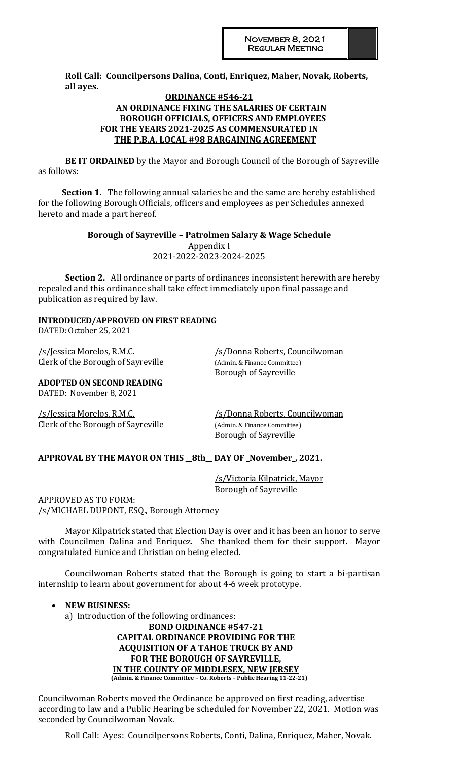**Roll Call: Councilpersons Dalina, Conti, Enriquez, Maher, Novak, Roberts, all ayes.**

#### **ORDINANCE #546-21 AN ORDINANCE FIXING THE SALARIES OF CERTAIN BOROUGH OFFICIALS, OFFICERS AND EMPLOYEES FOR THE YEARS 2021-2025 AS COMMENSURATED IN THE P.B.A. LOCAL #98 BARGAINING AGREEMENT**

**BE IT ORDAINED** by the Mayor and Borough Council of the Borough of Sayreville as follows:

**Section 1.** The following annual salaries be and the same are hereby established for the following Borough Officials, officers and employees as per Schedules annexed hereto and made a part hereof.

#### **Borough of Sayreville – Patrolmen Salary & Wage Schedule** Appendix I 2021-2022-2023-2024-2025

**Section 2.** All ordinance or parts of ordinances inconsistent herewith are hereby repealed and this ordinance shall take effect immediately upon final passage and publication as required by law.

## **INTRODUCED/APPROVED ON FIRST READING**

DATED: October 25, 2021

Clerk of the Borough of Sayreville (Admin. & Finance Committee)

/s/Jessica Morelos, R.M.C. /s/Donna Roberts, Councilwoman Borough of Sayreville

**ADOPTED ON SECOND READING** DATED: November 8, 2021

/s/Jessica Morelos, R.M.C. /s/Donna Roberts, Councilwoman Clerk of the Borough of Sayreville (Admin. & Finance Committee)

Borough of Sayreville

## **APPROVAL BY THE MAYOR ON THIS \_\_8th\_\_ DAY OF \_November\_, 2021.**

/s/Victoria Kilpatrick, Mayor Borough of Sayreville

APPROVED AS TO FORM: /s/MICHAEL DUPONT, ESQ., Borough Attorney

Mayor Kilpatrick stated that Election Day is over and it has been an honor to serve with Councilmen Dalina and Enriquez. She thanked them for their support. Mayor congratulated Eunice and Christian on being elected.

Councilwoman Roberts stated that the Borough is going to start a bi-partisan internship to learn about government for about 4-6 week prototype.

**NEW BUSINESS:** 

a) Introduction of the following ordinances:

**BOND ORDINANCE #547-21 CAPITAL ORDINANCE PROVIDING FOR THE ACQUISITION OF A TAHOE TRUCK BY AND FOR THE BOROUGH OF SAYREVILLE, IN THE COUNTY OF MIDDLESEX, NEW JERSEY (Admin. & Finance Committee – Co. Roberts – Public Hearing 11-22-21)**

Councilwoman Roberts moved the Ordinance be approved on first reading, advertise according to law and a Public Hearing be scheduled for November 22, 2021. Motion was seconded by Councilwoman Novak.

Roll Call: Ayes: Councilpersons Roberts, Conti, Dalina, Enriquez, Maher, Novak.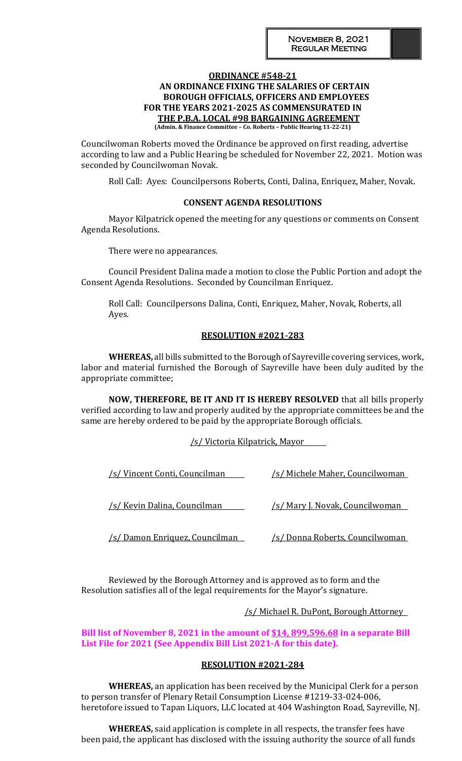# **ORDINANCE #548-21 AN ORDINANCE FIXING THE SALARIES OF CERTAIN BOROUGH OFFICIALS, OFFICERS AND EMPLOYEES FOR THE YEARS 2021-2025 AS COMMENSURATED IN THE P.B.A. LOCAL #98 BARGAINING AGREEMENT**

**(Admin. & Finance Committee – Co. Roberts – Public Hearing 11-22-21)**

Councilwoman Roberts moved the Ordinance be approved on first reading, advertise according to law and a Public Hearing be scheduled for November 22, 2021. Motion was seconded by Councilwoman Novak.

Roll Call: Ayes: Councilpersons Roberts, Conti, Dalina, Enriquez, Maher, Novak.

#### **CONSENT AGENDA RESOLUTIONS**

Mayor Kilpatrick opened the meeting for any questions or comments on Consent Agenda Resolutions.

There were no appearances.

Council President Dalina made a motion to close the Public Portion and adopt the Consent Agenda Resolutions. Seconded by Councilman Enriquez.

Roll Call: Councilpersons Dalina, Conti, Enriquez, Maher, Novak, Roberts, all Ayes.

## **RESOLUTION #2021-283**

**WHEREAS,** all bills submitted to the Borough of Sayreville covering services, work, labor and material furnished the Borough of Sayreville have been duly audited by the appropriate committee;

**NOW, THEREFORE, BE IT AND IT IS HEREBY RESOLVED** that all bills properly verified according to law and properly audited by the appropriate committees be and the same are hereby ordered to be paid by the appropriate Borough officials.

/s/ Victoria Kilpatrick, Mayor

| /s/ Vincent Conti, Councilman  | <u>/s/ Michele Maher, Councilwoman_</u> |
|--------------------------------|-----------------------------------------|
| /s/ Kevin Dalina, Councilman   | <u>/s/ Mary J. Novak, Councilwoman</u>  |
| 's/ Damon Enriquez, Councilman | <u>/s/ Donna Roberts, Councilwoman_</u> |

Reviewed by the Borough Attorney and is approved as to form and the Resolution satisfies all of the legal requirements for the Mayor's signature.

#### /s/ Michael R. DuPont, Borough Attorney

## **Bill list of November 8, 2021 in the amount of \$14, 899,596.68 in a separate Bill List File for 2021 (See Appendix Bill List 2021-A for this date).**

#### **RESOLUTION #2021-284**

**WHEREAS,** an application has been received by the Municipal Clerk for a person to person transfer of Plenary Retail Consumption License #1219-33-024-006, heretofore issued to Tapan Liquors, LLC located at 404 Washington Road, Sayreville, NJ.

**WHEREAS,** said application is complete in all respects, the transfer fees have been paid, the applicant has disclosed with the issuing authority the source of all funds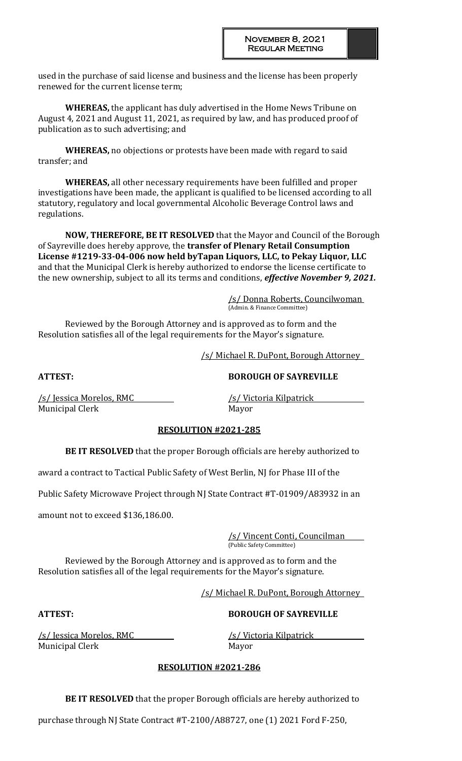used in the purchase of said license and business and the license has been properly renewed for the current license term;

**WHEREAS,** the applicant has duly advertised in the Home News Tribune on August 4, 2021 and August 11, 2021, as required by law, and has produced proof of publication as to such advertising; and

**WHEREAS,** no objections or protests have been made with regard to said transfer; and

**WHEREAS,** all other necessary requirements have been fulfilled and proper investigations have been made, the applicant is qualified to be licensed according to all statutory, regulatory and local governmental Alcoholic Beverage Control laws and regulations.

**NOW, THEREFORE, BE IT RESOLVED** that the Mayor and Council of the Borough of Sayreville does hereby approve, the **transfer of Plenary Retail Consumption License #1219-33-04-006 now held byTapan Liquors, LLC, to Pekay Liquor, LLC** and that the Municipal Clerk is hereby authorized to endorse the license certificate to the new ownership, subject to all its terms and conditions, *effective November 9, 2021.*

> /s/ Donna Roberts, Councilwoman (Admin. & Finance Committee)

Reviewed by the Borough Attorney and is approved as to form and the Resolution satisfies all of the legal requirements for the Mayor's signature.

/s/ Michael R. DuPont, Borough Attorney

**ATTEST: BOROUGH OF SAYREVILLE**

/s/ Jessica Morelos, RMC /s/ Victoria Kilpatrick Municipal Clerk Mayor

## **RESOLUTION #2021-285**

**BE IT RESOLVED** that the proper Borough officials are hereby authorized to

award a contract to Tactical Public Safety of West Berlin, NJ for Phase III of the

Public Safety Microwave Project through NJ State Contract #T-01909/A83932 in an

amount not to exceed \$136,186.00.

/s/ Vincent Conti, Councilman (Public Safety Committee)

Reviewed by the Borough Attorney and is approved as to form and the Resolution satisfies all of the legal requirements for the Mayor's signature.

/s/ Michael R. DuPont, Borough Attorney

#### **ATTEST: BOROUGH OF SAYREVILLE**

/s/ Jessica Morelos, RMC /s/ Victoria Kilpatrick Municipal Clerk and the Mayor

## **RESOLUTION #2021-286**

**BE IT RESOLVED** that the proper Borough officials are hereby authorized to

purchase through NJ State Contract #T-2100/A88727, one (1) 2021 Ford F-250,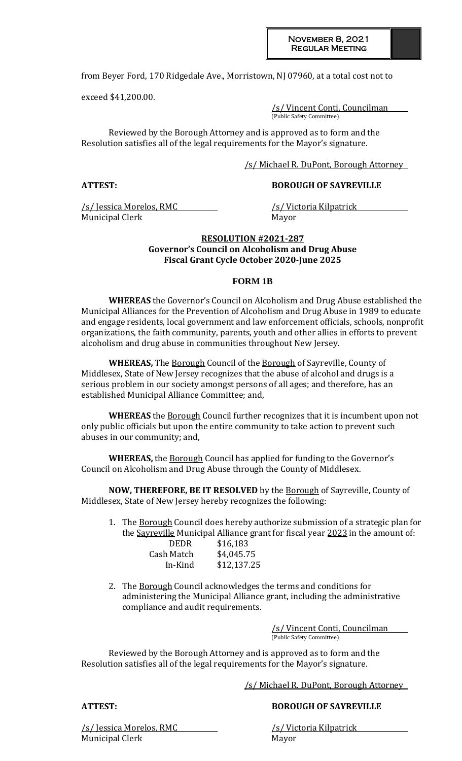from Beyer Ford, 170 Ridgedale Ave., Morristown, NJ 07960, at a total cost not to

exceed \$41,200.00.

/s/ Vincent Conti, Councilman (Public Safety Committee)

Reviewed by the Borough Attorney and is approved as to form and the Resolution satisfies all of the legal requirements for the Mayor's signature.

/s/ Michael R. DuPont, Borough Attorney

## **ATTEST: BOROUGH OF SAYREVILLE**

/s/ Jessica Morelos, RMC /s/ Victoria Kilpatrick Municipal Clerk Mayor

## **RESOLUTION #2021-287 Governor's Council on Alcoholism and Drug Abuse Fiscal Grant Cycle October 2020-June 2025**

#### **FORM 1B**

**WHEREAS** the Governor's Council on Alcoholism and Drug Abuse established the Municipal Alliances for the Prevention of Alcoholism and Drug Abuse in 1989 to educate and engage residents, local government and law enforcement officials, schools, nonprofit organizations, the faith community, parents, youth and other allies in efforts to prevent alcoholism and drug abuse in communities throughout New Jersey.

**WHEREAS,** The Borough Council of the Borough of Sayreville, County of Middlesex, State of New Jersey recognizes that the abuse of alcohol and drugs is a serious problem in our society amongst persons of all ages; and therefore, has an established Municipal Alliance Committee; and,

**WHEREAS** the Borough Council further recognizes that it is incumbent upon not only public officials but upon the entire community to take action to prevent such abuses in our community; and,

**WHEREAS,** the Borough Council has applied for funding to the Governor's Council on Alcoholism and Drug Abuse through the County of Middlesex.

**NOW, THEREFORE, BE IT RESOLVED** by the Borough of Sayreville, County of Middlesex, State of New Jersey hereby recognizes the following:

- 1. The Borough Council does hereby authorize submission of a strategic plan for the Sayreville Municipal Alliance grant for fiscal year 2023 in the amount of: DEDR \$16,183 Cash Match \$4,045.75 In-Kind \$12,137.25
- 2. The Borough Council acknowledges the terms and conditions for administering the Municipal Alliance grant, including the administrative compliance and audit requirements.

/s/ Vincent Conti, Councilman (Public Safety Committee)

Reviewed by the Borough Attorney and is approved as to form and the Resolution satisfies all of the legal requirements for the Mayor's signature.

/s/ Michael R. DuPont, Borough Attorney

## **ATTEST: BOROUGH OF SAYREVILLE**

/s/ Jessica Morelos, RMC /s/ Victoria Kilpatrick Municipal Clerk Mayor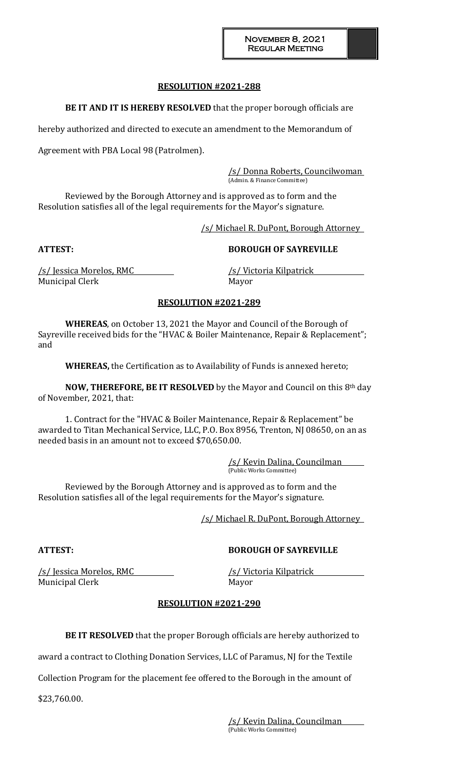### **RESOLUTION #2021-288**

**BE IT AND IT IS HEREBY RESOLVED** that the proper borough officials are

hereby authorized and directed to execute an amendment to the Memorandum of

Agreement with PBA Local 98 (Patrolmen).

/s/ Donna Roberts, Councilwoman (Admin. & Finance Committee)

Reviewed by the Borough Attorney and is approved as to form and the Resolution satisfies all of the legal requirements for the Mayor's signature.

/s/ Michael R. DuPont, Borough Attorney

## **ATTEST: BOROUGH OF SAYREVILLE**

/s/ Jessica Morelos, RMC /s/ Victoria Kilpatrick Municipal Clerk Mayor

## **RESOLUTION #2021-289**

**WHEREAS**, on October 13, 2021 the Mayor and Council of the Borough of Sayreville received bids for the "HVAC & Boiler Maintenance, Repair & Replacement"; and

**WHEREAS,** the Certification as to Availability of Funds is annexed hereto;

**NOW, THEREFORE, BE IT RESOLVED** by the Mayor and Council on this 8th day of November, 2021, that:

1. Contract for the "HVAC & Boiler Maintenance, Repair & Replacement" be awarded to Titan Mechanical Service, LLC, P.O. Box 8956, Trenton, NJ 08650, on an as needed basis in an amount not to exceed \$70,650.00.

> /s/ Kevin Dalina, Councilman (Public Works Committee)

Reviewed by the Borough Attorney and is approved as to form and the Resolution satisfies all of the legal requirements for the Mayor's signature.

/s/ Michael R. DuPont, Borough Attorney

#### **ATTEST: BOROUGH OF SAYREVILLE**

Municipal Clerk and the Mayor

/s/ Jessica Morelos, RMC /s/ Victoria Kilpatrick

## **RESOLUTION #2021-290**

**BE IT RESOLVED** that the proper Borough officials are hereby authorized to

award a contract to Clothing Donation Services, LLC of Paramus, NJ for the Textile

Collection Program for the placement fee offered to the Borough in the amount of

\$23,760.00.

/s/ Kevin Dalina, Councilman (Public Works Committee)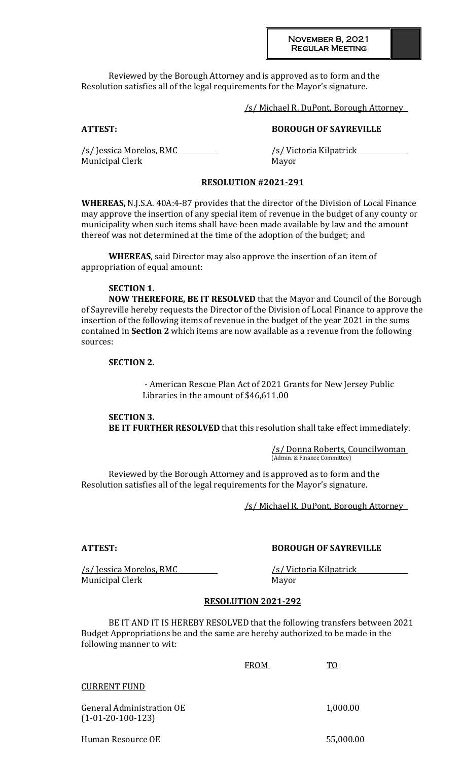#### November 8, 2021 Regular Meeting

Reviewed by the Borough Attorney and is approved as to form and the Resolution satisfies all of the legal requirements for the Mayor's signature.

/s/ Michael R. DuPont, Borough Attorney

## **ATTEST: BOROUGH OF SAYREVILLE**

/s/ Jessica Morelos, RMC /s/ Victoria Kilpatrick Municipal Clerk Mayor

## **RESOLUTION #2021-291**

**WHEREAS,** N.J.S.A. 40A:4-87 provides that the director of the Division of Local Finance may approve the insertion of any special item of revenue in the budget of any county or municipality when such items shall have been made available by law and the amount thereof was not determined at the time of the adoption of the budget; and

**WHEREAS**, said Director may also approve the insertion of an item of appropriation of equal amount:

#### **SECTION 1.**

**NOW THEREFORE, BE IT RESOLVED** that the Mayor and Council of the Borough of Sayreville hereby requests the Director of the Division of Local Finance to approve the insertion of the following items of revenue in the budget of the year 2021 in the sums contained in **Section 2** which items are now available as a revenue from the following sources:

#### **SECTION 2.**

- American Rescue Plan Act of 2021 Grants for New Jersey Public Libraries in the amount of \$46,611.00

**SECTION 3. BE IT FURTHER RESOLVED** that this resolution shall take effect immediately.

> /s/ Donna Roberts, Councilwoman (Admin. & Finance Committee)

Reviewed by the Borough Attorney and is approved as to form and the Resolution satisfies all of the legal requirements for the Mayor's signature.

/s/ Michael R. DuPont, Borough Attorney

## **ATTEST: BOROUGH OF SAYREVILLE**

/s/ Jessica Morelos, RMC /s/ Victoria Kilpatrick Municipal Clerk Mayor

#### **RESOLUTION 2021-292**

BE IT AND IT IS HEREBY RESOLVED that the following transfers between 2021 Budget Appropriations be and the same are hereby authorized to be made in the following manner to wit:

| <b>FROM</b> | ፐበ |
|-------------|----|
|-------------|----|

#### CURRENT FUND

General Administration OE 1,000.00 (1-01-20-100-123)

Human Resource OE 55,000.00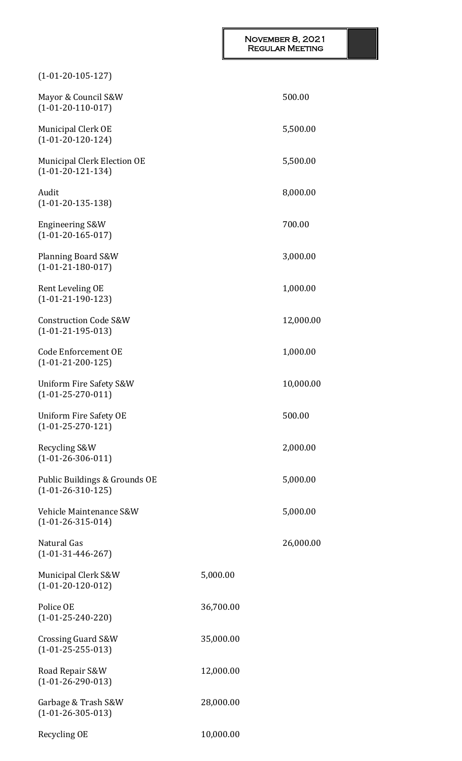## November 8, 2021 Regular Meeting

| $(1-01-20-105-127)$                                     |           |           |
|---------------------------------------------------------|-----------|-----------|
| Mayor & Council S&W<br>$(1-01-20-110-017)$              |           | 500.00    |
| <b>Municipal Clerk OE</b><br>$(1-01-20-120-124)$        |           | 5,500.00  |
| Municipal Clerk Election OE<br>$(1-01-20-121-134)$      |           | 5,500.00  |
| Audit<br>$(1-01-20-135-138)$                            |           | 8,000.00  |
| <b>Engineering S&amp;W</b><br>$(1-01-20-165-017)$       |           | 700.00    |
| Planning Board S&W<br>$(1-01-21-180-017)$               |           | 3,000.00  |
| Rent Leveling OE<br>$(1-01-21-190-123)$                 |           | 1,000.00  |
| <b>Construction Code S&amp;W</b><br>$(1-01-21-195-013)$ |           | 12,000.00 |
| <b>Code Enforcement OE</b><br>$(1-01-21-200-125)$       |           | 1,000.00  |
| Uniform Fire Safety S&W<br>$(1-01-25-270-011)$          |           | 10,000.00 |
| Uniform Fire Safety OE<br>$(1-01-25-270-121)$           |           | 500.00    |
| Recycling S&W<br>$(1-01-26-306-011)$                    |           | 2,000.00  |
| Public Buildings & Grounds OE<br>$(1-01-26-310-125)$    |           | 5,000.00  |
| Vehicle Maintenance S&W<br>$(1-01-26-315-014)$          |           | 5,000.00  |
| Natural Gas<br>$(1-01-31-446-267)$                      |           | 26,000.00 |
| Municipal Clerk S&W<br>$(1-01-20-120-012)$              | 5,000.00  |           |
| Police OE<br>$(1-01-25-240-220)$                        | 36,700.00 |           |
| Crossing Guard S&W<br>$(1-01-25-255-013)$               | 35,000.00 |           |
| Road Repair S&W<br>$(1-01-26-290-013)$                  | 12,000.00 |           |
| Garbage & Trash S&W<br>$(1-01-26-305-013)$              | 28,000.00 |           |
| Recycling OE                                            | 10,000.00 |           |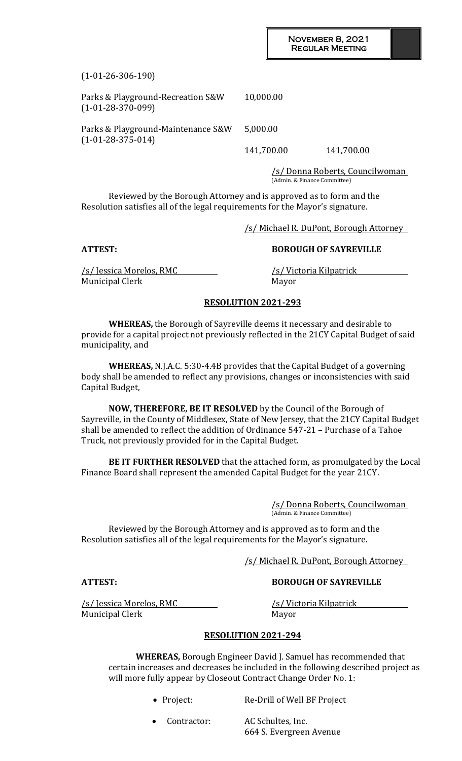(1-01-26-306-190)

| Parks & Playground-Recreation S&W<br>$(1-01-28-370-099)$  | 10,000.00         |            |
|-----------------------------------------------------------|-------------------|------------|
| Parks & Playground-Maintenance S&W<br>$(1-01-28-375-014)$ | 5,000.00          |            |
|                                                           | <u>141,700.00</u> | 141,700.00 |

/s/ Donna Roberts, Councilwoman (Admin. & Finance Committee)

Reviewed by the Borough Attorney and is approved as to form and the Resolution satisfies all of the legal requirements for the Mayor's signature.

/s/ Michael R. DuPont, Borough Attorney

## **ATTEST: BOROUGH OF SAYREVILLE**

/s/ Jessica Morelos, RMC /s/ Victoria Kilpatrick Municipal Clerk Mayor

#### **RESOLUTION 2021-293**

**WHEREAS,** the Borough of Sayreville deems it necessary and desirable to provide for a capital project not previously reflected in the 21CY Capital Budget of said municipality, and

**WHEREAS,** N.J.A.C. 5:30-4.4B provides that the Capital Budget of a governing body shall be amended to reflect any provisions, changes or inconsistencies with said Capital Budget,

**NOW, THEREFORE, BE IT RESOLVED** by the Council of the Borough of Sayreville, in the County of Middlesex, State of New Jersey, that the 21CY Capital Budget shall be amended to reflect the addition of Ordinance 547-21 – Purchase of a Tahoe Truck, not previously provided for in the Capital Budget.

**BE IT FURTHER RESOLVED** that the attached form, as promulgated by the Local Finance Board shall represent the amended Capital Budget for the year 21CY.

> /s/ Donna Roberts, Councilwoman (Admin. & Finance Committee)

Reviewed by the Borough Attorney and is approved as to form and the Resolution satisfies all of the legal requirements for the Mayor's signature.

/s/ Michael R. DuPont, Borough Attorney

**ATTEST: BOROUGH OF SAYREVILLE**

/s/ Jessica Morelos, RMC /s/ Victoria Kilpatrick Municipal Clerk Mayor

#### **RESOLUTION 2021-294**

**WHEREAS,** Borough Engineer David J. Samuel has recommended that certain increases and decreases be included in the following described project as will more fully appear by Closeout Contract Change Order No. 1:

- Project: Re-Drill of Well BF Project
- Contractor: AC Schultes, Inc. 664 S. Evergreen Avenue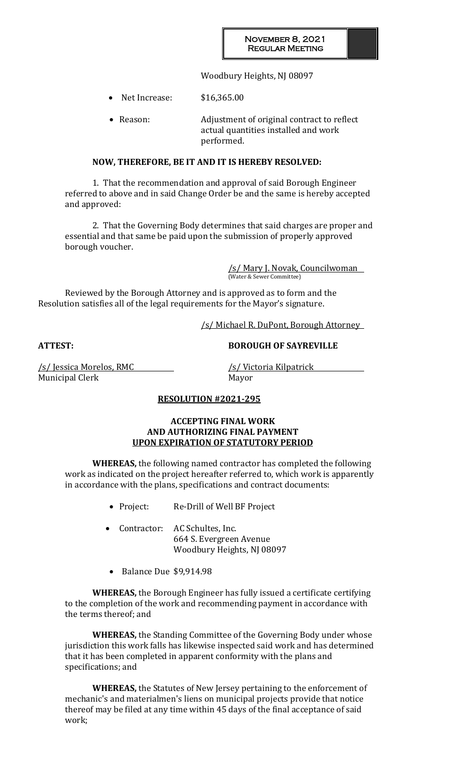Woodbury Heights, NJ 08097

• Net Increase: \$16,365.00

• Reason: Adjustment of original contract to reflect actual quantities installed and work performed.

## **NOW, THEREFORE, BE IT AND IT IS HEREBY RESOLVED:**

1. That the recommendation and approval of said Borough Engineer referred to above and in said Change Order be and the same is hereby accepted and approved:

2. That the Governing Body determines that said charges are proper and essential and that same be paid upon the submission of properly approved borough voucher.

> /s/ Mary J. Novak, Councilwoman (Water & Sewer Committee)

Reviewed by the Borough Attorney and is approved as to form and the Resolution satisfies all of the legal requirements for the Mayor's signature.

/s/ Michael R. DuPont, Borough Attorney

**ATTEST: BOROUGH OF SAYREVILLE**

Municipal Clerk Mayor

/s/ Jessica Morelos, RMC /s/ Victoria Kilpatrick

## **RESOLUTION #2021-295**

## **ACCEPTING FINAL WORK AND AUTHORIZING FINAL PAYMENT UPON EXPIRATION OF STATUTORY PERIOD**

**WHEREAS,** the following named contractor has completed the following work as indicated on the project hereafter referred to, which work is apparently in accordance with the plans, specifications and contract documents:

- Project: Re-Drill of Well BF Project
- Contractor: AC Schultes, Inc. 664 S. Evergreen Avenue Woodbury Heights, NJ 08097
- Balance Due \$9,914.98

**WHEREAS,** the Borough Engineer has fully issued a certificate certifying to the completion of the work and recommending payment in accordance with the terms thereof; and

**WHEREAS,** the Standing Committee of the Governing Body under whose jurisdiction this work falls has likewise inspected said work and has determined that it has been completed in apparent conformity with the plans and specifications; and

**WHEREAS,** the Statutes of New Jersey pertaining to the enforcement of mechanic's and materialmen's liens on municipal projects provide that notice thereof may be filed at any time within 45 days of the final acceptance of said work;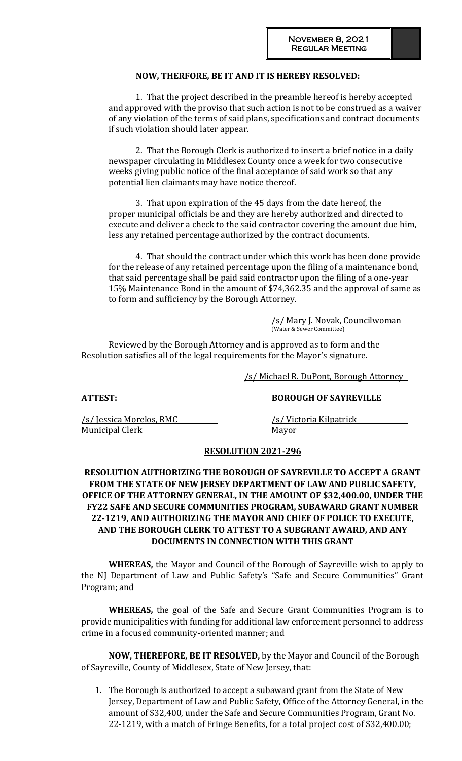## **NOW, THERFORE, BE IT AND IT IS HEREBY RESOLVED:**

1. That the project described in the preamble hereof is hereby accepted and approved with the proviso that such action is not to be construed as a waiver of any violation of the terms of said plans, specifications and contract documents if such violation should later appear.

2. That the Borough Clerk is authorized to insert a brief notice in a daily newspaper circulating in Middlesex County once a week for two consecutive weeks giving public notice of the final acceptance of said work so that any potential lien claimants may have notice thereof.

3. That upon expiration of the 45 days from the date hereof, the proper municipal officials be and they are hereby authorized and directed to execute and deliver a check to the said contractor covering the amount due him, less any retained percentage authorized by the contract documents.

4. That should the contract under which this work has been done provide for the release of any retained percentage upon the filing of a maintenance bond, that said percentage shall be paid said contractor upon the filing of a one-year 15% Maintenance Bond in the amount of \$74,362.35 and the approval of same as to form and sufficiency by the Borough Attorney.

> /s/ Mary J. Novak, Councilwoman (Water & Sewer Committee)

Reviewed by the Borough Attorney and is approved as to form and the Resolution satisfies all of the legal requirements for the Mayor's signature.

/s/ Michael R. DuPont, Borough Attorney

## **ATTEST: BOROUGH OF SAYREVILLE**

/s/ Jessica Morelos, RMC /s/ Victoria Kilpatrick Municipal Clerk Mayor

#### **RESOLUTION 2021-296**

## **RESOLUTION AUTHORIZING THE BOROUGH OF SAYREVILLE TO ACCEPT A GRANT FROM THE STATE OF NEW JERSEY DEPARTMENT OF LAW AND PUBLIC SAFETY, OFFICE OF THE ATTORNEY GENERAL, IN THE AMOUNT OF \$32,400.00, UNDER THE FY22 SAFE AND SECURE COMMUNITIES PROGRAM, SUBAWARD GRANT NUMBER 22-1219, AND AUTHORIZING THE MAYOR AND CHIEF OF POLICE TO EXECUTE, AND THE BOROUGH CLERK TO ATTEST TO A SUBGRANT AWARD, AND ANY DOCUMENTS IN CONNECTION WITH THIS GRANT**

**WHEREAS,** the Mayor and Council of the Borough of Sayreville wish to apply to the NJ Department of Law and Public Safety's "Safe and Secure Communities" Grant Program; and

**WHEREAS,** the goal of the Safe and Secure Grant Communities Program is to provide municipalities with funding for additional law enforcement personnel to address crime in a focused community-oriented manner; and

**NOW, THEREFORE, BE IT RESOLVED,** by the Mayor and Council of the Borough of Sayreville, County of Middlesex, State of New Jersey, that:

1. The Borough is authorized to accept a subaward grant from the State of New Jersey, Department of Law and Public Safety, Office of the Attorney General, in the amount of \$32,400, under the Safe and Secure Communities Program, Grant No. 22-1219, with a match of Fringe Benefits, for a total project cost of \$32,400.00;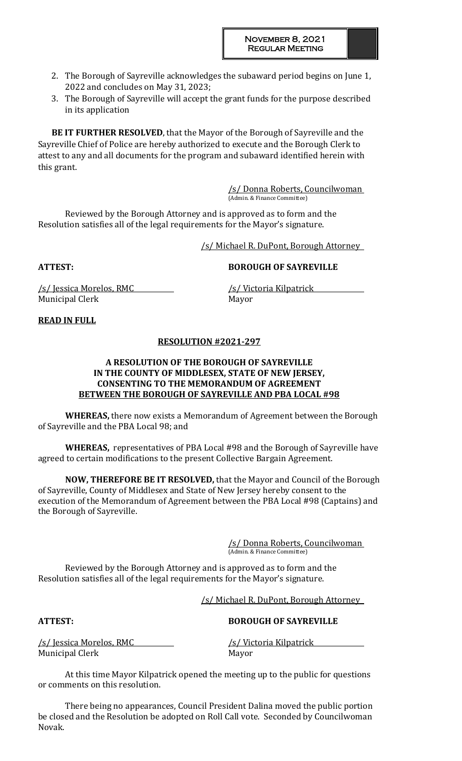- 2. The Borough of Sayreville acknowledges the subaward period begins on June 1, 2022 and concludes on May 31, 2023;
- 3. The Borough of Sayreville will accept the grant funds for the purpose described in its application

**BE IT FURTHER RESOLVED**, that the Mayor of the Borough of Sayreville and the Sayreville Chief of Police are hereby authorized to execute and the Borough Clerk to attest to any and all documents for the program and subaward identified herein with this grant.

> /s/ Donna Roberts, Councilwoman (Admin. & Finance Committee)

Reviewed by the Borough Attorney and is approved as to form and the Resolution satisfies all of the legal requirements for the Mayor's signature.

/s/ Michael R. DuPont, Borough Attorney

**ATTEST: BOROUGH OF SAYREVILLE**

/s/ Jessica Morelos, RMC /s/ Victoria Kilpatrick Municipal Clerk Mayor

## **READ IN FULL**

## **RESOLUTION #2021-297**

## **A RESOLUTION OF THE BOROUGH OF SAYREVILLE IN THE COUNTY OF MIDDLESEX, STATE OF NEW JERSEY, CONSENTING TO THE MEMORANDUM OF AGREEMENT BETWEEN THE BOROUGH OF SAYREVILLE AND PBA LOCAL #98**

**WHEREAS,** there now exists a Memorandum of Agreement between the Borough of Sayreville and the PBA Local 98; and

**WHEREAS,** representatives of PBA Local #98 and the Borough of Sayreville have agreed to certain modifications to the present Collective Bargain Agreement.

**NOW, THEREFORE BE IT RESOLVED,** that the Mayor and Council of the Borough of Sayreville, County of Middlesex and State of New Jersey hereby consent to the execution of the Memorandum of Agreement between the PBA Local #98 (Captains) and the Borough of Sayreville.

> /s/ Donna Roberts, Councilwoman (Admin. & Finance Committee)

Reviewed by the Borough Attorney and is approved as to form and the Resolution satisfies all of the legal requirements for the Mayor's signature.

/s/ Michael R. DuPont, Borough Attorney

## **ATTEST: BOROUGH OF SAYREVILLE**

/s/ Jessica Morelos, RMC /s/ Victoria Kilpatrick Municipal Clerk Mayor

At this time Mayor Kilpatrick opened the meeting up to the public for questions or comments on this resolution.

There being no appearances, Council President Dalina moved the public portion be closed and the Resolution be adopted on Roll Call vote. Seconded by Councilwoman Novak.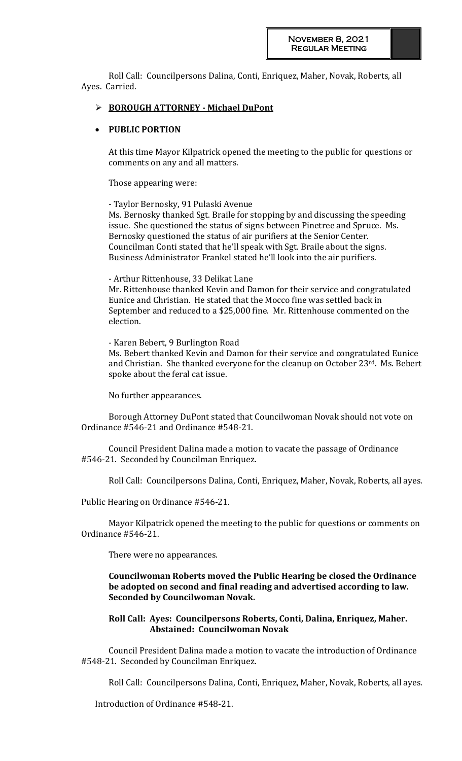Roll Call: Councilpersons Dalina, Conti, Enriquez, Maher, Novak, Roberts, all Ayes. Carried.

## **BOROUGH ATTORNEY - Michael DuPont**

#### **PUBLIC PORTION**

At this time Mayor Kilpatrick opened the meeting to the public for questions or comments on any and all matters.

Those appearing were:

- Taylor Bernosky, 91 Pulaski Avenue

Ms. Bernosky thanked Sgt. Braile for stopping by and discussing the speeding issue. She questioned the status of signs between Pinetree and Spruce. Ms. Bernosky questioned the status of air purifiers at the Senior Center. Councilman Conti stated that he'll speak with Sgt. Braile about the signs. Business Administrator Frankel stated he'll look into the air purifiers.

#### - Arthur Rittenhouse, 33 Delikat Lane

Mr. Rittenhouse thanked Kevin and Damon for their service and congratulated Eunice and Christian. He stated that the Mocco fine was settled back in September and reduced to a \$25,000 fine. Mr. Rittenhouse commented on the election.

- Karen Bebert, 9 Burlington Road

Ms. Bebert thanked Kevin and Damon for their service and congratulated Eunice and Christian. She thanked everyone for the cleanup on October 23rd. Ms. Bebert spoke about the feral cat issue.

No further appearances.

Borough Attorney DuPont stated that Councilwoman Novak should not vote on Ordinance #546-21 and Ordinance #548-21.

Council President Dalina made a motion to vacate the passage of Ordinance #546-21. Seconded by Councilman Enriquez.

Roll Call: Councilpersons Dalina, Conti, Enriquez, Maher, Novak, Roberts, all ayes.

Public Hearing on Ordinance #546-21.

Mayor Kilpatrick opened the meeting to the public for questions or comments on Ordinance #546-21.

There were no appearances.

**Councilwoman Roberts moved the Public Hearing be closed the Ordinance be adopted on second and final reading and advertised according to law. Seconded by Councilwoman Novak.** 

#### **Roll Call: Ayes: Councilpersons Roberts, Conti, Dalina, Enriquez, Maher. Abstained: Councilwoman Novak**

Council President Dalina made a motion to vacate the introduction of Ordinance #548-21. Seconded by Councilman Enriquez.

Roll Call: Councilpersons Dalina, Conti, Enriquez, Maher, Novak, Roberts, all ayes.

Introduction of Ordinance #548-21.